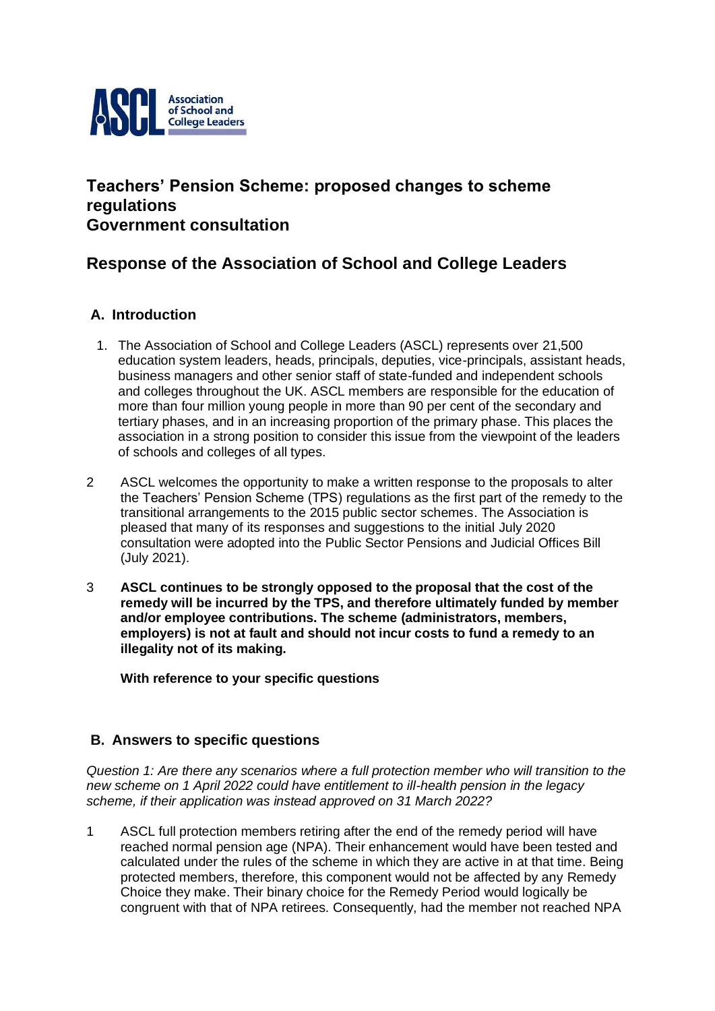

## **Teachers' Pension Scheme: proposed changes to scheme regulations Government consultation**

## **Response of the Association of School and College Leaders**

### **A. Introduction**

- 1. The Association of School and College Leaders (ASCL) represents over 21,500 education system leaders, heads, principals, deputies, vice-principals, assistant heads, business managers and other senior staff of state-funded and independent schools and colleges throughout the UK. ASCL members are responsible for the education of more than four million young people in more than 90 per cent of the secondary and tertiary phases, and in an increasing proportion of the primary phase. This places the association in a strong position to consider this issue from the viewpoint of the leaders of schools and colleges of all types.
- 2 ASCL welcomes the opportunity to make a written response to the proposals to alter the Teachers' Pension Scheme (TPS) regulations as the first part of the remedy to the transitional arrangements to the 2015 public sector schemes. The Association is pleased that many of its responses and suggestions to the initial July 2020 consultation were adopted into the Public Sector Pensions and Judicial Offices Bill (July 2021).
- 3 **ASCL continues to be strongly opposed to the proposal that the cost of the remedy will be incurred by the TPS, and therefore ultimately funded by member and/or employee contributions. The scheme (administrators, members, employers) is not at fault and should not incur costs to fund a remedy to an illegality not of its making.**

**With reference to your specific questions**

### **B. Answers to specific questions**

*Question 1: Are there any scenarios where a full protection member who will transition to the new scheme on 1 April 2022 could have entitlement to ill-health pension in the legacy scheme, if their application was instead approved on 31 March 2022?*

1 ASCL full protection members retiring after the end of the remedy period will have reached normal pension age (NPA). Their enhancement would have been tested and calculated under the rules of the scheme in which they are active in at that time. Being protected members, therefore, this component would not be affected by any Remedy Choice they make. Their binary choice for the Remedy Period would logically be congruent with that of NPA retirees. Consequently, had the member not reached NPA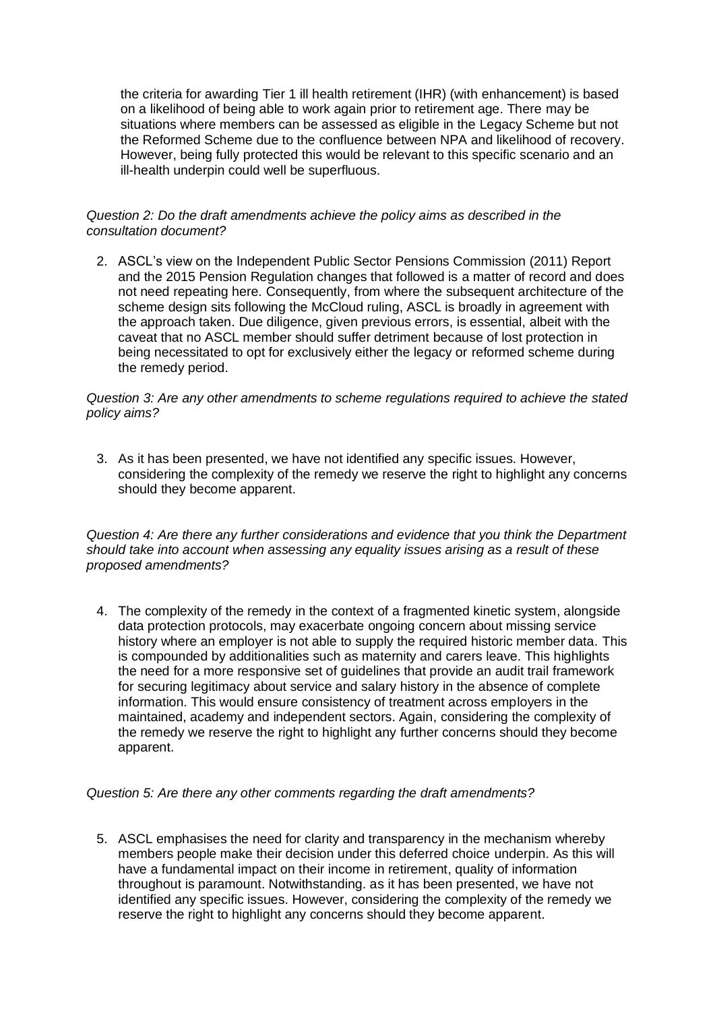the criteria for awarding Tier 1 ill health retirement (IHR) (with enhancement) is based on a likelihood of being able to work again prior to retirement age. There may be situations where members can be assessed as eligible in the Legacy Scheme but not the Reformed Scheme due to the confluence between NPA and likelihood of recovery. However, being fully protected this would be relevant to this specific scenario and an ill-health underpin could well be superfluous.

#### *Question 2: Do the draft amendments achieve the policy aims as described in the consultation document?*

2. ASCL's view on the Independent Public Sector Pensions Commission (2011) Report and the 2015 Pension Regulation changes that followed is a matter of record and does not need repeating here. Consequently, from where the subsequent architecture of the scheme design sits following the McCloud ruling, ASCL is broadly in agreement with the approach taken. Due diligence, given previous errors, is essential, albeit with the caveat that no ASCL member should suffer detriment because of lost protection in being necessitated to opt for exclusively either the legacy or reformed scheme during the remedy period.

#### *Question 3: Are any other amendments to scheme regulations required to achieve the stated policy aims?*

3. As it has been presented, we have not identified any specific issues. However, considering the complexity of the remedy we reserve the right to highlight any concerns should they become apparent.

*Question 4: Are there any further considerations and evidence that you think the Department should take into account when assessing any equality issues arising as a result of these proposed amendments?*

4. The complexity of the remedy in the context of a fragmented kinetic system, alongside data protection protocols, may exacerbate ongoing concern about missing service history where an employer is not able to supply the required historic member data. This is compounded by additionalities such as maternity and carers leave. This highlights the need for a more responsive set of guidelines that provide an audit trail framework for securing legitimacy about service and salary history in the absence of complete information. This would ensure consistency of treatment across employers in the maintained, academy and independent sectors. Again, considering the complexity of the remedy we reserve the right to highlight any further concerns should they become apparent.

#### *Question 5: Are there any other comments regarding the draft amendments?*

5. ASCL emphasises the need for clarity and transparency in the mechanism whereby members people make their decision under this deferred choice underpin. As this will have a fundamental impact on their income in retirement, quality of information throughout is paramount. Notwithstanding. as it has been presented, we have not identified any specific issues. However, considering the complexity of the remedy we reserve the right to highlight any concerns should they become apparent.